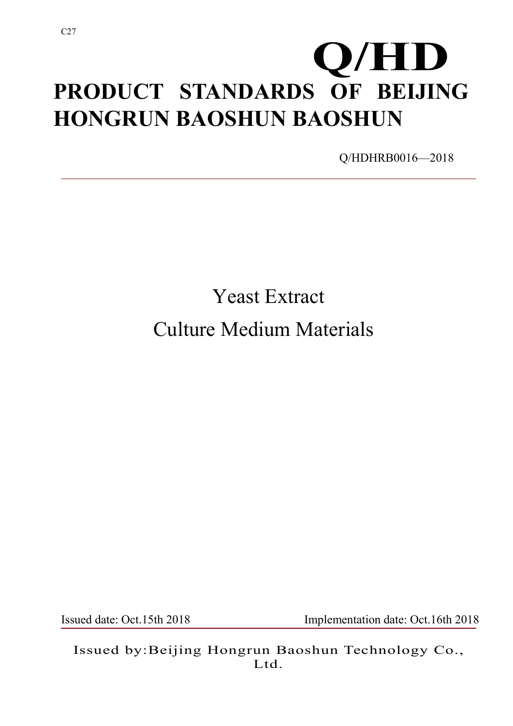# **PRODUCT STANDARDS OF BEIJING HONGRUN BAOSHUN BAOSHUN Q/HD**

Q/HDHRB0016—2018

# Yeast Extract Culture Medium Materials

Issued date: Oct.15th 2018 Implementation date: Oct.16th 2018

Issued by:Beijing Hongrun Baoshun Technology Co., Ltd.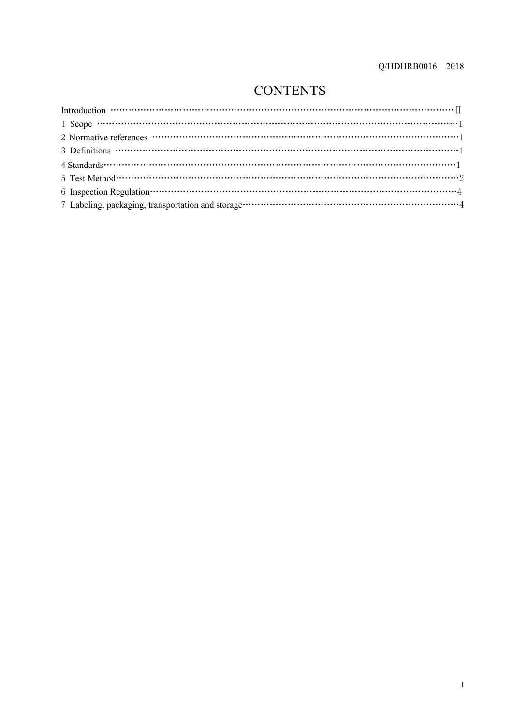### **CONTENTS**

| Introduction $\cdots$ $\cdots$ $\cdots$ $\cdots$ $\cdots$ $\cdots$ $\cdots$ $\cdots$ $\cdots$ $\cdots$ $\cdots$ $\cdots$ $\cdots$ $\cdots$ $\cdots$ $\cdots$ $\cdots$ $\cdots$ $\cdots$ $\cdots$ $\cdots$ |
|-----------------------------------------------------------------------------------------------------------------------------------------------------------------------------------------------------------|
|                                                                                                                                                                                                           |
|                                                                                                                                                                                                           |
|                                                                                                                                                                                                           |
|                                                                                                                                                                                                           |
|                                                                                                                                                                                                           |
|                                                                                                                                                                                                           |
|                                                                                                                                                                                                           |
|                                                                                                                                                                                                           |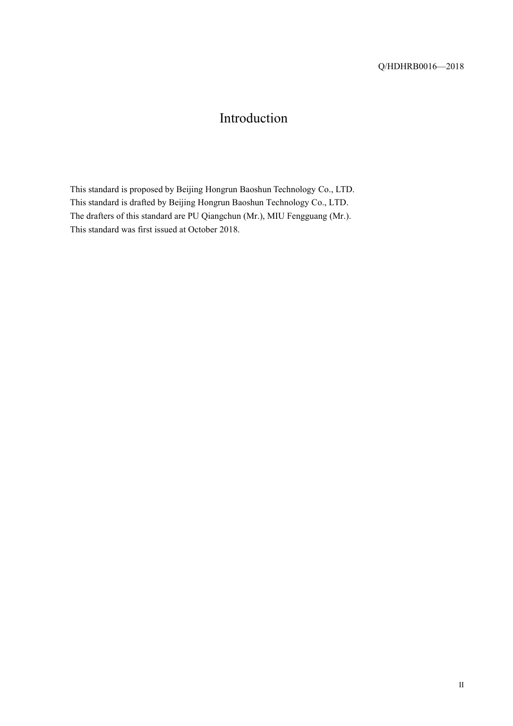### Introduction

This standard is proposed by Beijing Hongrun Baoshun Technology Co., LTD. This standard is drafted by Beijing Hongrun Baoshun Technology Co., LTD. The drafters of this standard are PU Qiangchun (Mr.), MIU Fengguang (Mr.). This standard was first issued at October 2018.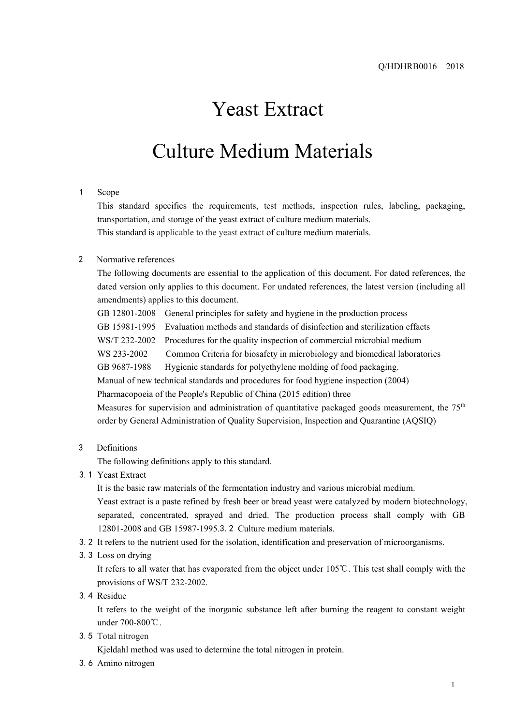## Yeast Extract

## Culture Medium Materials

#### 1 Scope

This standard specifies the requirements, test methods, inspection rules, labeling, packaging, transportation, and storage of the yeast extract of culture medium materials.

This standard is applicable to the yeast extract of culture medium materials.

#### 2 Normative references

The following documents are essential to the application of this document. For dated references, the dated version only applies to this document. For undated references, the latest version (including all amendments) applies to this document.

GB 12801-2008 General principles for safety and hygiene in the production process GB 15981-1995 Evaluation methods and standards of disinfection and sterilization effacts WS/T 232-2002 Procedures for the quality inspection of commercial microbial medium WS 233-2002 Common Criteria for biosafety in microbiology and biomedical laboratories GB 9687-1988 Hygienic standards for polyethylene molding of food packaging. Manual of new technical standards and procedures for food hygiene inspection (2004) Pharmacopoeia of the People's Republic of China (2015 edition) three Measures for supervision and administration of quantitative packaged goods measurement, the 75<sup>th</sup> order by General Administration of Quality Supervision, Inspection and Quarantine (AQSIQ)

3 Definitions

The following definitions apply to this standard.

3.1 Yeast Extract

It is the basic raw materials of the fermentation industry and various microbial medium.

Yeast extract is a paste refined by fresh beer or bread yeast were catalyzed by modern biotechnology, separated, concentrated, sprayed and dried. The production process shall comply with GB 12801-2008 and GB 15987-1995.3.2 Culture medium materials.

- 3.2 It refers to the nutrient used for the isolation, identification and preservation of microorganisms.
- 3.3 Loss on drying

It refers to all water that has evaporated from the object under 105℃. This test shall comply with the provisions ofWS/T 232-2002.

3.4 Residue

It refers to the weight of the inorganic substance left after burning the reagent to constant weight under 700-800℃.

3.5 Total nitrogen

Kjeldahl method was used to determine the total nitrogen in protein.

3.6 Amino nitrogen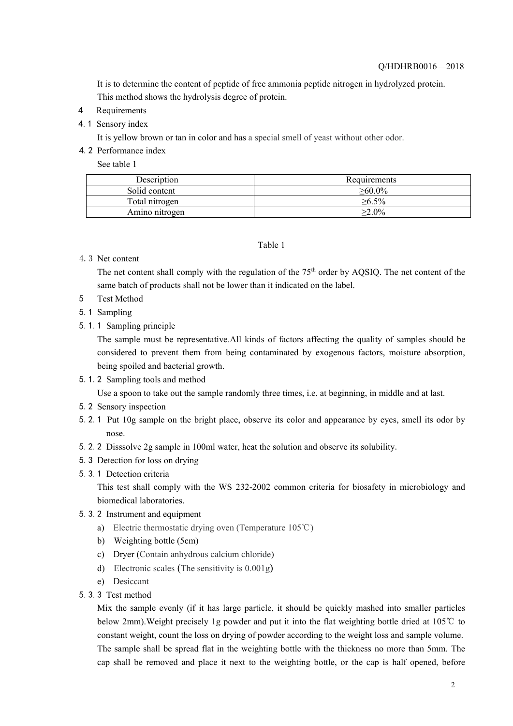It is to determine the contentof peptide of free ammonia peptide nitrogen in hydrolyzed protein. This method shows the hydrolysis degree of protein.

- 4 Requirements
- 4.1 Sensory index

It is yellow brown or tan in color and has a special smell of yeast without other odor.

4.2 Performance index

See table 1

| Description    | Requirements  |
|----------------|---------------|
| Solid content  | $\geq 60.0\%$ |
| Total nitrogen | $>6.5\%$      |
| Amino nitrogen | $\geq 2.0\%$  |

#### Table 1

4.3 Net content

The net content shall comply with the regulation of the  $75<sup>th</sup>$  order by AQSIQ. The net content of the same batch of products shall not be lower than it indicated on the label.

- 5 Test Method
- 5.1 Sampling
- 5.1.1 Sampling principle

The sample must be representative.All kinds of factors affecting the quality of samples should be considered to prevent them from being contaminated by exogenous factors, moisture absorption, being spoiled and bacterial growth.

5.1.2 Sampling tools and method

Use a spoon to take out the sample randomly three times, i.e. at beginning, in middle and at last.

- 5.2 Sensory inspection
- 5.2.1 Put 10g sample on the bright place, observe its color and appearance by eyes, smell its odor by nose.
- 5.2.2 Disssolve 2g sample in 100ml water, heat the solution and observe its solubility.
- 5.3 Detection for loss on drying
- 5.3.1 Detection criteria

This test shall comply with the WS 232-2002 common criteria for biosafety in microbiology and biomedical laboratories.

- 5.3.2 Instrument and equipment
	- a) Electric thermostatic drying oven (Temperature 105℃)
	- b) Weighting bottle (5cm)
	- c) Dryer (Contain anhydrous calcium chloride)
	- d) Electronic scales (The sensitivity is 0.001g)
	- e) Desiccant
- 5.3.3 Test method

Mix the sample evenly (if it has large particle, it should be quickly mashed into smaller particles below 2mm).Weight precisely 1g powder and put it into the flat weighting bottle dried at 105℃ to constant weight, count the loss on drying of powder according to the weight loss and sample volume. The sample shall be spread flat in the weighting bottle with the thickness no more than 5mm. The cap shall be removed and place it next to the weighting bottle, or the cap is half opened, before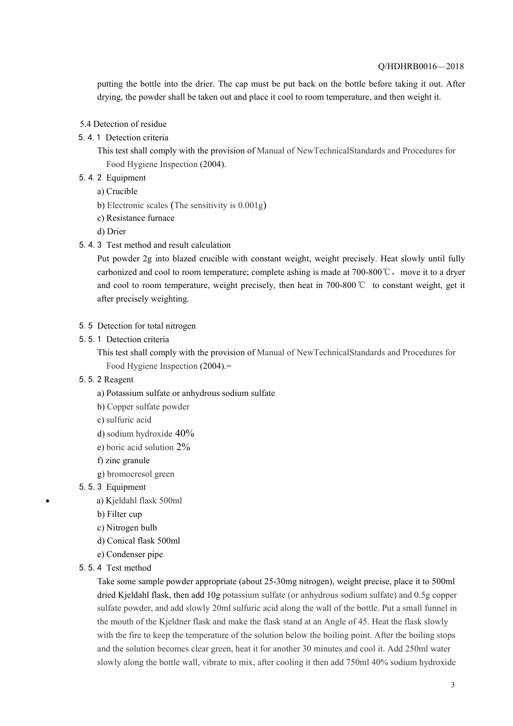#### Q/HDHRB0016—2018

putting the bottle into the drier. The cap must be put back on the bottle before taking it out. After drying, the powder shall be taken out and place it cool to room temperature, and then weight it.

- 5.4 Detection of residue
- 5.4.1 Detection criteria
	- This test shall comply with the provision of Manual of NewTechnicalStandards and Procedures for Food Hygiene Inspection (2004).
- 5.4.2 Equipment
	- a) Crucible
	- b) Electronic scales (The sensitivity is 0.001g)
	- c) Resistance furnace
	- d) Drier
- 5.4.3 Test method and result calculation

Put powder 2g into blazed crucible with constant weight, weight precisely. Heat slowly until fully carbonized and cool to room temperature; complete ashing is made at 700-800°C, move it to a dryer and cool to room temperature, weight precisely, then heat in 700-800℃ to constant weight, get it after precisely weighting.

- 5.5 Detection for total nitrogen
- 5.5.1 Detection criteria

This test shall comply with the provision of Manual of NewTechnicalStandards and Procedures for Food Hygiene Inspection (2004).=

- 5.5.2 Reagent
	- a) Potassium sulfate or anhydrous sodium sulfate
	- b) Copper sulfate powder
	- c) sulfuric acid
	- d) sodium hydroxide 40%
	- e) boric acid solution 2%
	- f) zinc granule
	- g) bromocresol green
- 5.5.3 Equipment
	- a) Kjeldahl flask 500ml
	- b) Filter cup
	- c) Nitrogen bulb
	- d) Conical flask 500ml
	- e) Condenser pipe
- 5.5.4 Test method

Take some sample powder appropriate (about 25-30mg nitrogen), weight precise, place it to 500ml dried Kjeldahl flask, then add 10g potassium sulfate (or anhydrous sodium sulfate) and 0.5g copper sulfate powder, and add slowly 20ml sulfuric acid along the wall of the bottle. Put a small funnel in the mouth of the Kjeldner flask and make the flask stand at an Angle of 45.Heat the flask slowly with the fire to keep the temperature of the solution below the boiling point. After the boiling stops and the solution becomes clear green, heat it for another 30 minutes and cool it. Add 250ml water slowly along the bottle wall, vibrate to mix, after cooling it then add 750ml 40% sodium hydroxide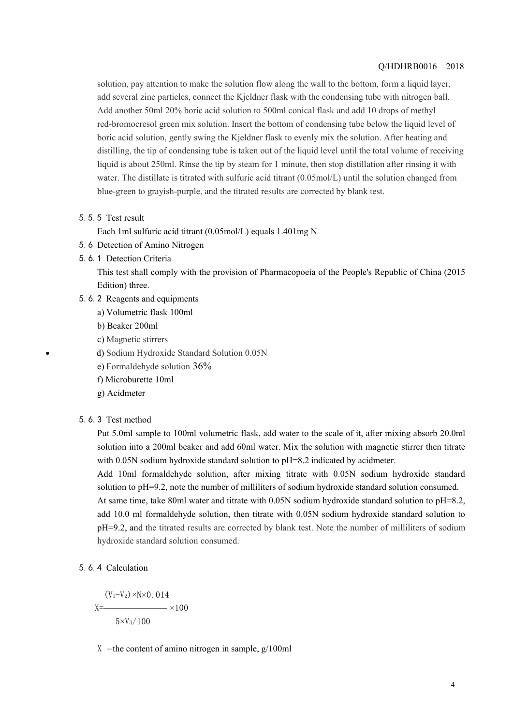#### Q/HDHRB0016—2018

solution, pay attention to make the solution flow along the wall to the bottom, form a liquid layer, add several zinc particles, connect the Kjeldner flask with the condensing tube with nitrogen ball. Add another 50ml 20% boric acid solution to 500ml conical flask and add 10 drops of methyl red-bromocresol green mix solution. Insert the bottom of condensing tube below the liquid level of boric acid solution, gently swing the Kjeldner flask to evenly mix the solution. After heating and distilling, the tip of condensing tube is taken out of the liquid level until the total volume of receiving liquid is about 250ml. Rinse the tip by steam for 1 minute, then stop distillation after rinsing it with water. The distillate is titrated with sulfuric acid titrant (0.05mol/L) until the solution changed from blue-green to grayish-purple, and the titrated results are corrected by blank test.

5.5.5 Test result

Each 1ml sulfuric acid titrant (0.05mol/L) equals 1.401mg N

- 5.6 Detection of Amino Nitrogen
- 5.6.1 Detection Criteria

This test shall comply with the provision of Pharmacopoeia of the People's Republic of China (2015 Edition) three.

- 5.6.2 Reagents and equipments
	- a) Volumetric flask 100ml
	- b) Beaker 200ml
	- c) Magnetic stirrers
	- d) Sodium Hydroxide Standard Solution 0.05N
	- e) Formaldehyde solution 36%
	- f) Microburette 10ml
	- g) Acidmeter
- 5.6.3 Test method

Put 5.0ml sample to 100ml volumetric flask, add water to the scale of it, after mixing absorb 20.0ml solution into a 200ml beaker and add 60ml water. Mix the solution with magnetic stirrer then titrate with 0.05N sodium hydroxide standard solution to pH=8.2 indicated by acidmeter.

Add 10ml formaldehyde solution, after mixing titrate with 0.05N sodium hydroxide standard solution to pH=9.2, note the number of milliliters of sodium hydroxide standard solution consumed.

At same time, take 80ml water and titrate with 0.05N sodium hydroxide standard solution to pH=8.2, add 10.0 ml formaldehyde solution, then titrate with 0.05N sodium hydroxide standard solution to pH=9.2, and the titrated results are corrected by blank test. Note the number of milliliters of sodium hydroxide standard solution consumed.

#### 5.6.4 Calculation

$$
X = \frac{(V_1 - V_2) \times N \times 0.014}{5 \times V_3/100} \times 100
$$

X -the content of amino nitrogen in sample,  $g/100ml$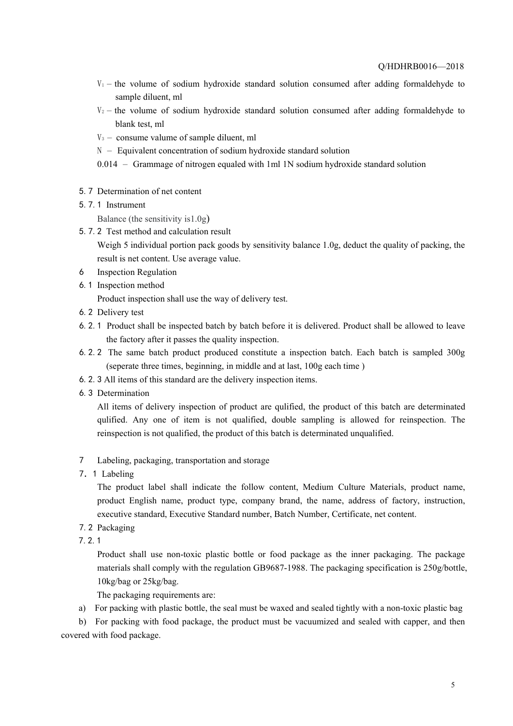- $V_1$  the volume of sodium hydroxide standard solution consumed after adding formaldehyde to sample diluent, ml
- $V_2$  the volume of sodium hydroxide standard solution consumed after adding formaldehyde to blank test, ml
- $V_3$  consume valume of sample diluent, ml
- $N -$  Equivalent concentration of sodium hydroxide standard solution
- 0.014 Grammage of nitrogen equaled with 1ml 1N sodium hydroxide standard solution
- 5.7 Determination of net content
- 5.7.1 Instrument

Balance (the sensitivity is1.0g)

5.7.2 Test method and calculation result

Weigh 5 individual portion pack goods by sensitivity balance 1.0g, deduct the quality of packing, the result is net content. Use average value.

- 6 Inspection Regulation
- 6.1 Inspection method

Product inspection shall use the way of delivery test.

- 6.2 Delivery test
- 6.2.1 Product shall be inspected batch by batch before it is delivered. Product shall be allowed to leave the factory after it passes the quality inspection.
- 6.2.2 The same batch product produced constitute a inspection batch. Each batch is sampled 300g (seperate three times, beginning, in middle and at last, 100g each time )
- 6.2.3 All items of this standard are the delivery inspection items.
- 6.3 Determination

All items of delivery inspection of product are qulified, the product of this batch are determinated qulified. Any one of item is not qualified, double sampling is allowed for reinspection. The reinspection is not qualified, the product of this batch is determinated unqualified.

- 7 Labeling, packaging, transportation and storage
- 7.1 Labeling

The product label shall indicate the follow content, Medium Culture Materials, product name, product English name, product type, company brand, the name, address of factory, instruction, executive standard, Executive Standard number, Batch Number, Certificate, net content.

- 7.2 Packaging
- 7.2.1

Product shall use non-toxic plastic bottle or food package as the inner packaging. The package materials shall comply with the regulation GB9687-1988. The packaging specification is  $250g/bottle$ , 10kg/bag or 25kg/bag.

The packaging requirements are:

a) For packing with plastic bottle, the seal must be waxed and sealed tightly with a non-toxic plastic bag

b) For packing with food package, the product must be vacuumized and sealed with capper, and then covered with food package.